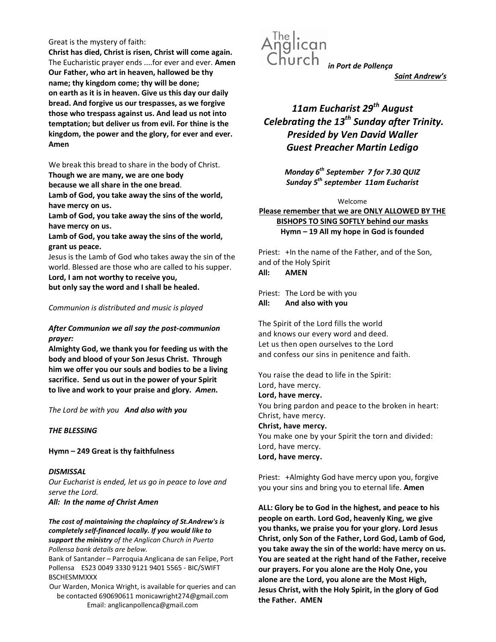## Great is the mystery of faith:

Christ has died, Christ is risen, Christ will come again. The Eucharistic prayer ends ....for ever and ever. Amen Our Father, who art in heaven, hallowed be thy name; thy kingdom come; thy will be done; on earth as it is in heaven. Give us this day our daily bread. And forgive us our trespasses, as we forgive those who trespass against us. And lead us not into temptation; but deliver us from evil. For thine is the kingdom, the power and the glory, for ever and ever. Amen

We break this bread to share in the body of Christ.

Though we are many, we are one body

because we all share in the one bread.

Lamb of God, you take away the sins of the world, have mercy on us.

Lamb of God, you take away the sins of the world, have mercy on us.

Lamb of God, you take away the sins of the world, grant us peace.

Jesus is the Lamb of God who takes away the sin of the world. Blessed are those who are called to his supper. Lord, I am not worthy to receive you,

but only say the word and I shall be healed.

## Communion is distributed and music is played

# After Communion we all say the post-communion prayer:

Almighty God, we thank you for feeding us with the body and blood of your Son Jesus Christ. Through him we offer you our souls and bodies to be a living sacrifice. Send us out in the power of your Spirit to live and work to your praise and glory. Amen.

The Lord be with you And also with you

## THE BLESSING

Hymn – 249 Great is thy faithfulness

**DISMISSAL** Our Eucharist is ended, let us go in peace to love and serve the Lord. All: In the name of Christ Amen

The cost of maintaining the chaplaincy of St.Andrew's is completely self-financed locally. If you would like to

support the ministry of the Anglican Church in Puerto Pollensa bank details are below.

Bank of Santander – Parroquia Anglicana de san Felipe, Port Pollensa ES23 0049 3330 9121 9401 5565 - BIC/SWIFT BSCHESMMXXX

Our Warden, Monica Wright, is available for queries and can be contacted 690690611 monicawright274@gmail.com Email: anglicanpollenca@gmail.com



Saint Andrew's

# 11am Eucharist 29<sup>th</sup> August Celebrating the  $13^{th}$  Sunday after Trinity. Presided by Ven David Waller Guest Preacher Martin Ledigo

Monday 6<sup>th</sup> September 7 for 7.30 QUIZ Sunday  $5^{th}$  september 11am Eucharist

#### Welcome

Please remember that we are ONLY ALLOWED BY THE BISHOPS TO SING SOFTLY behind our masks Hymn – 19 All my hope in God is founded

Priest: +In the name of the Father, and of the Son, and of the Holy Spirit All: AMEN

Priest: The Lord be with you All: And also with you

The Spirit of the Lord fills the world and knows our every word and deed. Let us then open ourselves to the Lord and confess our sins in penitence and faith.

You raise the dead to life in the Spirit: Lord, have mercy. Lord, have mercy. You bring pardon and peace to the broken in heart: Christ, have mercy. Christ, have mercy. You make one by your Spirit the torn and divided: Lord, have mercy. Lord, have mercy.

Priest: +Almighty God have mercy upon you, forgive you your sins and bring you to eternal life. Amen

ALL: Glory be to God in the highest, and peace to his people on earth. Lord God, heavenly King, we give you thanks, we praise you for your glory. Lord Jesus Christ, only Son of the Father, Lord God, Lamb of God, you take away the sin of the world: have mercy on us. You are seated at the right hand of the Father, receive our prayers. For you alone are the Holy One, you alone are the Lord, you alone are the Most High, Jesus Christ, with the Holy Spirit, in the glory of God the Father. AMEN